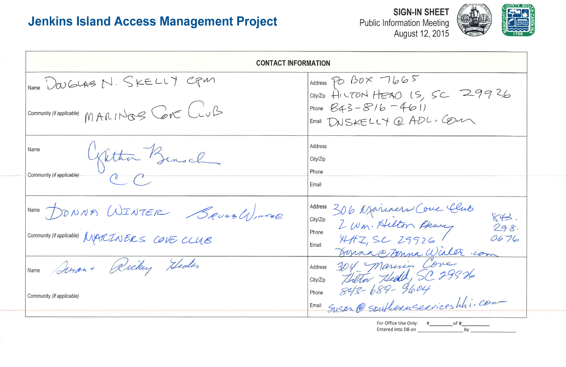# **Jenkins Island Access Management Project**

Public Information Meeting<br>August 12, 2015

| <b>CONTACT INFORMATION</b>                     |                                                                                                                                   |  |  |  |
|------------------------------------------------|-----------------------------------------------------------------------------------------------------------------------------------|--|--|--|
| INAME WOUGLAS N. SKELLY CPM                    | Address PO BOX 7665<br>City/Zip HILTON HEAD IS, SC 29926                                                                          |  |  |  |
| Community (if applicable) MARINGS CONE LUB     | Phone $843 - 816 - 461$<br>Email DNSKELLY @ ADL. COM                                                                              |  |  |  |
| Name<br>Gitta Bensel                           | Address<br>City/Zip                                                                                                               |  |  |  |
| Community (if applicable)                      | Phone<br>Email                                                                                                                    |  |  |  |
| Name DONNA WINTER Seves WINTER                 | 306 Mairners Cove Club<br>2 Wm. Hilton Rewy<br>HAZ, SC 29926<br>843.<br>City/Zip<br>298.                                          |  |  |  |
| Community (if applicable) $MMLINERS$ COVE CLUB | Phone<br>0676<br>Email<br>Johnno Denna Willer com                                                                                 |  |  |  |
| IName Ancon + Richey Hedes                     | Address<br>City/Zip                                                                                                               |  |  |  |
| Community (if applicable)                      | Marine 2011 Marenie Come<br>1210 Autor Aledd, SC 29926<br>1210 843-689-9604<br>Susan @ Southernserviceshhi.com<br>Phone<br>∥Email |  |  |  |
|                                                | For Office Use Only:<br>of#<br><b>Entered into DB on</b>                                                                          |  |  |  |

Tierea into DB on





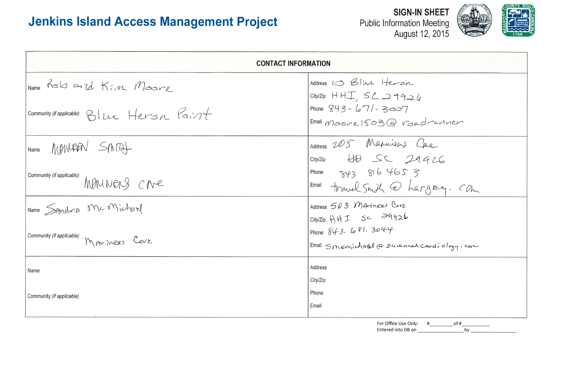# **Jenkins Island Access Management Project**

**Public Information Meeting** 

| <b>CONTACT INFORMATION</b>                 |                                                               |
|--------------------------------------------|---------------------------------------------------------------|
| Name RSW and Kim Moore                     | Address 10 Blue Heron<br>City/Zip $H + J$ , $SL \supseteq 92$ |
| Community (if applicable) Blue Hersn Point | Phone $843 - 67/2307$<br>$Email$ $Moorel$ 503 @ $Vol$         |
| MOVILEEN SMITH<br>Name                     | Address 205 Manuely<br>$City/Zip$ $\forall \forall$ $SC$ 2    |
| Community (if applicable)<br>MONNERS CAR   | Phone $8164653$<br>$F_{\text{mail}}$ travel Snith $\odot$ he  |
| Name Signation Mc Michael                  | Address 503 MATINERS COVE<br>City/Zip HHI SC 29926            |
| Community (if applicable) MAYMERS COVE     | Phone $843.681.3944$<br>Email Smanichard @ Suvanna            |
| Name                                       | Address<br>City/Zip                                           |
| Community (if applicable)                  | Phone<br>Email                                                |



 $\cdot \varphi$ adminier Care 19926<br>3 argray- Can cardiology.com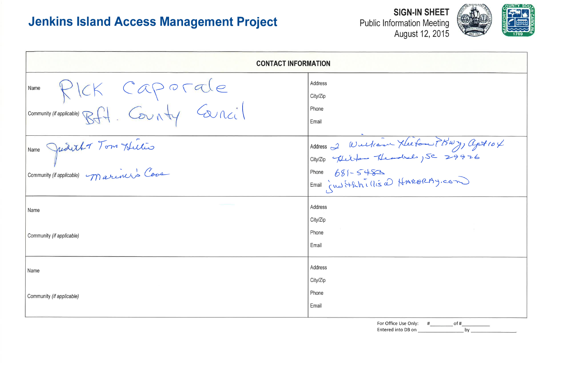# **Jenkins Island Access Management Project**

| <b>CONTACT INFORMATION</b>                                               |                                                                                            |  |  |  |
|--------------------------------------------------------------------------|--------------------------------------------------------------------------------------------|--|--|--|
| Name PICK Caporale<br>Community (if applicable) Bft. County Cancil       | Address<br>City/Zip<br>Phone<br>Email                                                      |  |  |  |
| Name Judith 70m Huitis<br>Community <i>(if applicable)</i> mariners Cove | Address 2 William Xleefon (BWY) apt 104<br>Phone 681-5483<br>Email insitatives HARBRAY.com |  |  |  |
| Name<br>Community (if applicable)                                        | Address<br>City/Zip<br>Phone                                                               |  |  |  |
| Name<br>Community (if applicable)                                        | Email<br>Address<br>City/Zip<br>Phone                                                      |  |  |  |
|                                                                          | Email<br>For Office Use Only:<br>of #<br>Entered into DB on<br>by                          |  |  |  |





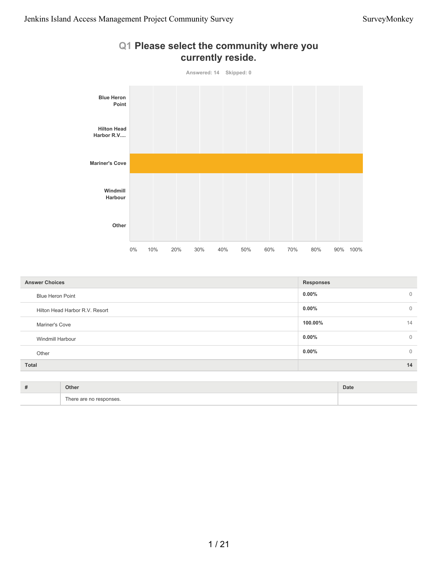

# **Q1 Please select the community where you**

| <b>Answer Choices</b>          | <b>Responses</b>         |
|--------------------------------|--------------------------|
| <b>Blue Heron Point</b>        | $0.00\%$<br>$\mathbf 0$  |
| Hilton Head Harbor R.V. Resort | $0.00\%$<br>$\mathbf 0$  |
| Mariner's Cove                 | 100.00%<br>14            |
| Windmill Harbour               | $0.00\%$<br>$\mathbf{0}$ |
| Other                          | $0.00\%$<br>$\mathbf{0}$ |
| Total                          | 14                       |
|                                |                          |

| Other                        | Date |
|------------------------------|------|
| -<br>There are no responses. |      |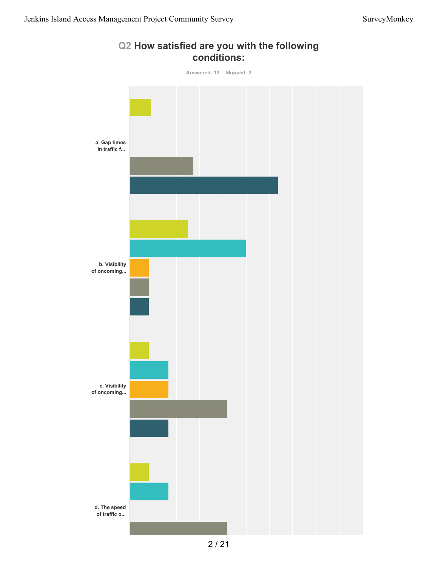

#### **Q2 How satisfied are you with the following conditions:**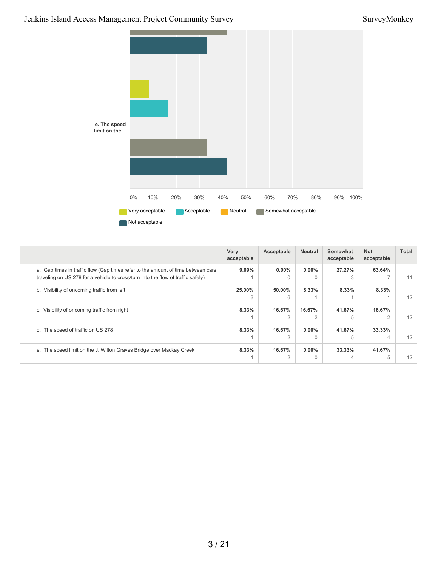### Jenkins Island Access Management Project Community Survey SurveyMonkey



|                                                                                                                                                                      | Very<br>acceptable | Acceptable               | <b>Neutral</b>           | Somewhat<br>acceptable | <b>Not</b><br>acceptable | Total |
|----------------------------------------------------------------------------------------------------------------------------------------------------------------------|--------------------|--------------------------|--------------------------|------------------------|--------------------------|-------|
| a. Gap times in traffic flow (Gap times refer to the amount of time between cars<br>traveling on US 278 for a vehicle to cross/turn into the flow of traffic safely) | $9.09\%$           | $0.00\%$                 | $0.00\%$<br>0            | 27.27%                 | 63.64%                   | 11    |
| b. Visibility of oncoming traffic from left                                                                                                                          | 25.00%<br>3        | 50.00%<br>6              | 8.33%                    | 8.33%                  | 8.33%                    | 12    |
| c. Visibility of oncoming traffic from right                                                                                                                         | 8.33%              | 16.67%<br>2              | 16.67%<br>$\overline{2}$ | 41.67%<br>5            | 16.67%<br>$\overline{2}$ | 12    |
| d. The speed of traffic on US 278                                                                                                                                    | 8.33%              | 16.67%<br>$\mathcal{P}$  | $0.00\%$<br>$\Omega$     | 41.67%<br>5            | 33.33%<br>4              | 12    |
| e. The speed limit on the J. Wilton Graves Bridge over Mackay Creek                                                                                                  | 8.33%              | 16.67%<br>$\overline{2}$ | $0.00\%$<br>$\Omega$     | 33.33%<br>4            | 41.67%<br>5              | 12    |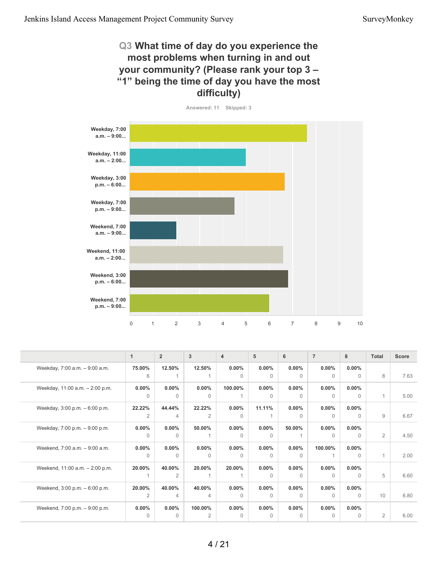#### **Q3 What time of day do you experience the most problems when turning in and out your community? (Please rank your top 3 – "1" being the time of day you have the most difficulty)**



|                                 | 1              | $\overline{2}$ | 3              | $\overline{4}$ | 5        | 6        | $\overline{7}$ | 8        | <b>Total</b>   | <b>Score</b> |
|---------------------------------|----------------|----------------|----------------|----------------|----------|----------|----------------|----------|----------------|--------------|
| Weekday, 7:00 a.m. - 9:00 a.m.  | 75.00%         | 12.50%         | 12.50%         | $0.00\%$       | $0.00\%$ | $0.00\%$ | $0.00\%$       | $0.00\%$ |                |              |
|                                 | 6              |                |                | $\Omega$       | $\Omega$ | $\Omega$ | $\Omega$       | $\Omega$ | 8              | 7.63         |
| Weekday, 11:00 a.m. - 2:00 p.m. | $0.00\%$       | $0.00\%$       | $0.00\%$       | 100.00%        | 0.00%    | $0.00\%$ | $0.00\%$       | $0.00\%$ |                |              |
|                                 | $\Omega$       | $\Omega$       | $\Omega$       |                | $\Omega$ | $\Omega$ | $\Omega$       | $\Omega$ | $\mathbf{1}$   | 5.00         |
| Weekday, 3:00 p.m. - 6:00 p.m.  | 22.22%         | 44.44%         | 22.22%         | $0.00\%$       | 11.11%   | $0.00\%$ | $0.00\%$       | $0.00\%$ |                |              |
|                                 | 2              | 4              | $\overline{2}$ | $\Omega$       |          | $\Omega$ | $\Omega$       | 0        | 9              | 6.67         |
| Weekday, 7:00 p.m. - 9:00 p.m.  | $0.00\%$       | $0.00\%$       | 50.00%         | $0.00\%$       | $0.00\%$ | 50.00%   | $0.00\%$       | $0.00\%$ |                |              |
|                                 | $\Omega$       | $\Omega$       |                | $\Omega$       | $\Omega$ |          | $\Omega$       | $\Omega$ | 2              | 4.50         |
| Weekend, 7:00 a.m. - 9:00 a.m.  | $0.00\%$       | $0.00\%$       | $0.00\%$       | $0.00\%$       | 0.00%    | $0.00\%$ | 100.00%        | $0.00\%$ |                |              |
|                                 | $\Omega$       | $\Omega$       | $\Omega$       | $\Omega$       | $\Omega$ | $\Omega$ |                | $\Omega$ | 1              | 2.00         |
| Weekend, 11:00 a.m. - 2:00 p.m. | 20.00%         | 40.00%         | 20.00%         | 20.00%         | $0.00\%$ | $0.00\%$ | $0.00\%$       | $0.00\%$ |                |              |
|                                 |                | $\overline{2}$ |                |                | $\Omega$ | $\Omega$ | $\Omega$       | 0        | 5              | 6.60         |
| Weekend, 3:00 p.m. - 6:00 p.m.  | 20.00%         | 40.00%         | 40.00%         | $0.00\%$       | 0.00%    | $0.00\%$ | $0.00\%$       | $0.00\%$ |                |              |
|                                 | $\overline{2}$ | 4              | 4              | $\Omega$       | $\Omega$ | $\Omega$ | $\Omega$       | $\Omega$ | 10             | 6.80         |
| Weekend, 7:00 p.m. - 9:00 p.m.  | $0.00\%$       | $0.00\%$       | 100.00%        | $0.00\%$       | 0.00%    | $0.00\%$ | $0.00\%$       | $0.00\%$ |                |              |
|                                 | $\Omega$       | $\Omega$       | $\overline{2}$ | $\Omega$       | $\Omega$ | $\Omega$ | $\Omega$       | $\Omega$ | $\overline{2}$ | 6.00         |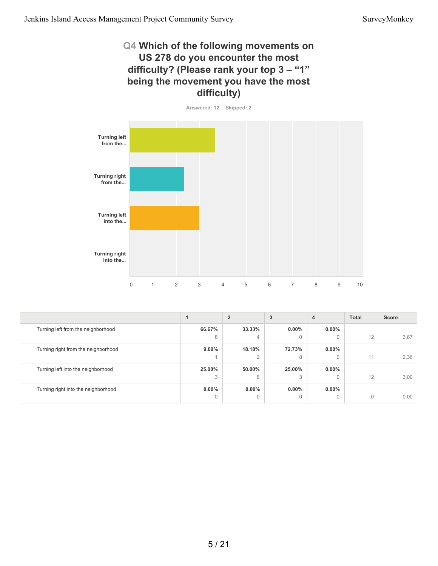#### **Q4 Which of the following movements on US 278 do you encounter the most difficulty? (Please rank your top 3 – "1" being the movement you have the most difficulty)**





|                                     |          | $\overline{2}$ | 3        | 4        | <b>Total</b> | <b>Score</b> |
|-------------------------------------|----------|----------------|----------|----------|--------------|--------------|
| Turning left from the neighborhood  | 66.67%   | 33.33%         | $0.00\%$ | $0.00\%$ |              |              |
|                                     | 8        | 4              | 0        | 0        | 12           | 3.67         |
| Turning right from the neighborhood | $9.09\%$ | 18.18%         | 72.73%   | $0.00\%$ |              |              |
|                                     |          | $\Omega$       | 8        | 0        | 11           | 2.36         |
| Turning left into the neighborhood  | 25.00%   | 50.00%         | 25.00%   | $0.00\%$ |              |              |
|                                     | 3        | 6              | 3        | 0        | 12           | 3.00         |
| Turning right into the neighborhood | $0.00\%$ | $0.00\%$       | $0.00\%$ | $0.00\%$ |              |              |
|                                     | $\Omega$ | $\Omega$       | $\Omega$ | 0        | $\Omega$     | 0.00         |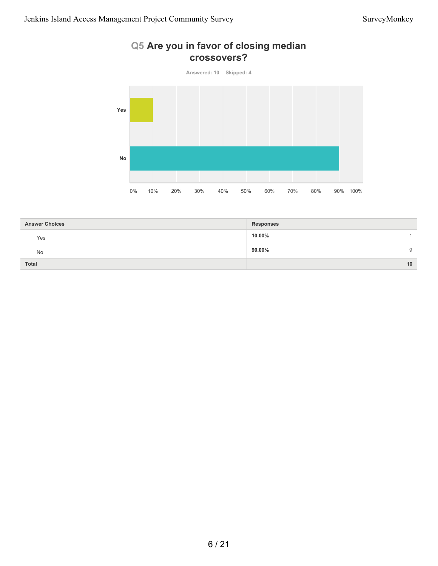## **Q5 Are you in favor of closing median crossovers?**



| <b>Answer Choices</b> | <b>Responses</b> |
|-----------------------|------------------|
| Yes                   | 10.00%           |
| <b>No</b>             | 90.00%<br>9      |
| Total                 | 10               |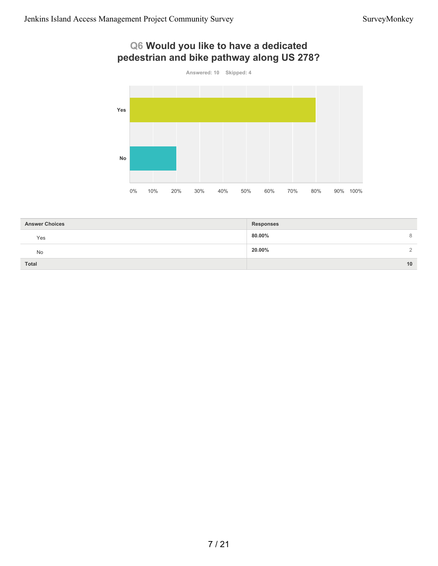# **Q6 Would you like to have a dedicated pedestrian and bike pathway along US 278?**



| <b>Answer Choices</b> | <b>Responses</b>   |
|-----------------------|--------------------|
| Yes                   | 80.00%<br>8        |
| No                    | 20.00%<br>$\Omega$ |
| <b>Total</b>          | 10                 |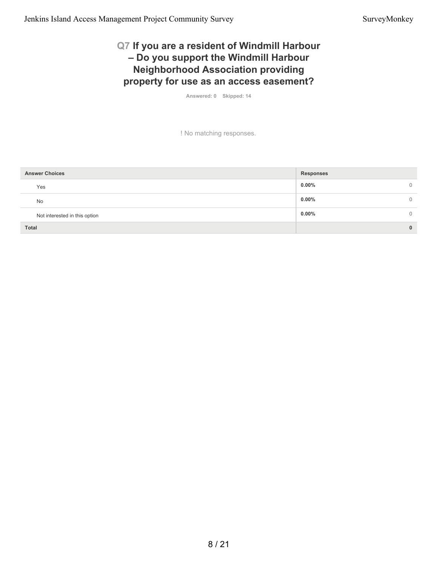### **Q7 If you are a resident of Windmill Harbour – Do you support the Windmill Harbour Neighborhood Association providing property for use as an access easement?**

**Answered: 0 Skipped: 14**

! No matching responses.

| <b>Answer Choices</b>         | <b>Responses</b>     |
|-------------------------------|----------------------|
| Yes                           | $0.00\%$<br>$\Omega$ |
| <b>No</b>                     | $0.00\%$<br>$\Omega$ |
| Not interested in this option | $0.00\%$             |
| <b>Total</b>                  | $\bf{0}$             |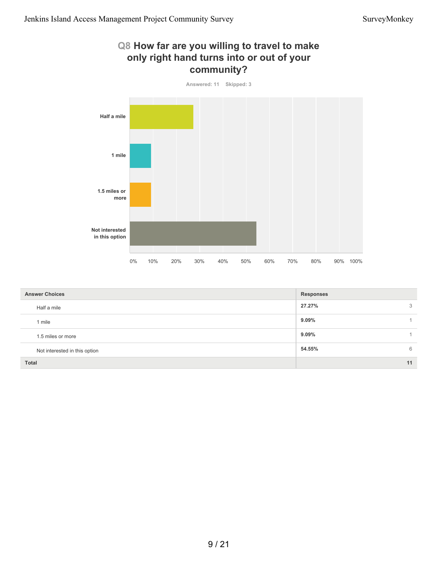#### **Q8 How far are you willing to travel to make only right hand turns into or out of your community?**



| <b>Answer Choices</b>         | <b>Responses</b> |    |
|-------------------------------|------------------|----|
| Half a mile                   | 27.27%           | 3  |
| 1 mile                        | 9.09%            |    |
| 1.5 miles or more             | $9.09\%$         |    |
| Not interested in this option | 54.55%           | 6  |
| Total                         |                  | 11 |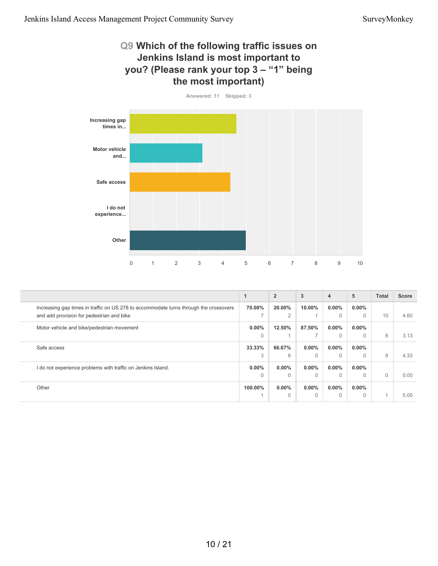#### **Q9 Which of the following traffic issues on Jenkins Island is most important to you? (Please rank your top 3 – "1" being the most important)**



|                                                                                       | 1             | $\overline{2}$ | 3        | $\overline{\mathbf{4}}$ | 5        | <b>Total</b> | <b>Score</b> |
|---------------------------------------------------------------------------------------|---------------|----------------|----------|-------------------------|----------|--------------|--------------|
| Increasing gap times in traffic on US 278 to accommodate turns through the crossovers | 70.00%        | 20.00%         | 10.00%   | $0.00\%$                | $0.00\%$ |              |              |
| and add provision for pedestrian and bike                                             | $\rightarrow$ | $\overline{2}$ |          | $\mathbf{0}$            | 0        | 10           | 4.60         |
| Motor vehicle and bike/pedestrian movement                                            | $0.00\%$      | 12.50%         | 87.50%   | $0.00\%$                | $0.00\%$ |              |              |
|                                                                                       | $\Omega$      |                | 7        | $\Omega$                | 0        | 8            | 3.13         |
| Safe access                                                                           | 33.33%        | 66.67%         | $0.00\%$ | $0.00\%$                | $0.00\%$ |              |              |
|                                                                                       | 3             | 6              | $\Omega$ | $\Omega$                |          | 9            | 4.33         |
| I do not experience problems with traffic on Jenkins Island.                          | $0.00\%$      | $0.00\%$       | $0.00\%$ | $0.00\%$                | $0.00\%$ |              |              |
|                                                                                       | $\Omega$      | $\Omega$       | $\Omega$ | $\Omega$                | 0        | $\Omega$     | 0.00         |
| Other                                                                                 | 100.00%       | $0.00\%$       | $0.00\%$ | $0.00\%$                | $0.00\%$ |              |              |
|                                                                                       |               | $\Omega$       | $\Omega$ | $\Omega$                | 0        |              | 5.00         |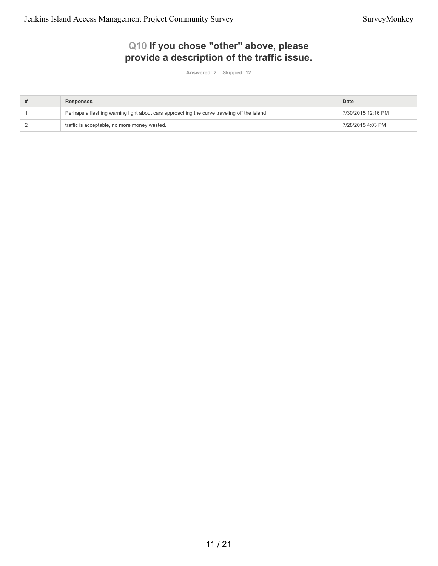# **Q10 If you chose "other" above, please provide a description of the traffic issue.**

**Answered: 2 Skipped: 12**

| Responses                                                                                  | Date               |
|--------------------------------------------------------------------------------------------|--------------------|
| Perhaps a flashing warning light about cars approaching the curve traveling off the island | 7/30/2015 12:16 PM |
| traffic is acceptable, no more money wasted.                                               | 7/28/2015 4:03 PM  |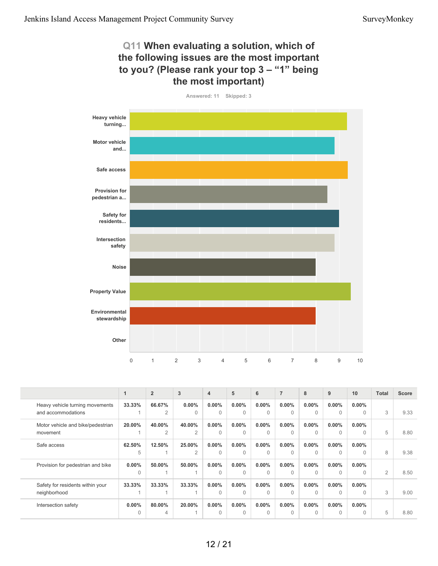#### **Q11 When evaluating a solution, which of the following issues are the most important to you? (Please rank your top 3 – "1" being the most important)**



|                                                       |                      | $\overline{2}$           | 3                        | $\overline{4}$       | 5                    | 6                    | $\overline{7}$       | 8                    | 9                    | 10                   | <b>Total</b> | <b>Score</b> |
|-------------------------------------------------------|----------------------|--------------------------|--------------------------|----------------------|----------------------|----------------------|----------------------|----------------------|----------------------|----------------------|--------------|--------------|
| Heavy vehicle turning movements<br>and accommodations | 33.33%               | 66.67%<br>2              | $0.00\%$<br>$\Omega$     | $0.00\%$<br>$\Omega$ | $0.00\%$<br>$\Omega$ | $0.00\%$<br>$\Omega$ | $0.00\%$<br>$\Omega$ | $0.00\%$<br>$\Omega$ | $0.00\%$<br>$\Omega$ | $0.00\%$<br>$\Omega$ | 3            | 9.33         |
| Motor vehicle and bike/pedestrian<br>movement         | 20.00%               | 40.00%<br>$\overline{2}$ | 40.00%<br>$\overline{2}$ | $0.00\%$<br>$\Omega$ | $0.00\%$<br>$\Omega$ | $0.00\%$<br>$\Omega$ | $0.00\%$<br>$\Omega$ | $0.00\%$<br>$\Omega$ | $0.00\%$<br>$\Omega$ | $0.00\%$<br>$\Omega$ | 5            | 8.80         |
| Safe access                                           | 62.50%<br>5          | 12.50%                   | 25.00%<br>$\overline{2}$ | $0.00\%$<br>$\Omega$ | $0.00\%$<br>$\Omega$ | $0.00\%$<br>$\cap$   | $0.00\%$<br>$\cap$   | $0.00\%$<br>$\Omega$ | $0.00\%$<br>$\Omega$ | $0.00\%$<br>$\Omega$ | 8            | 9.38         |
| Provision for pedestrian and bike                     | $0.00\%$<br>$\Omega$ | 50.00%                   | 50.00%                   | $0.00\%$<br>$\Omega$ | $0.00\%$<br>$\Omega$ | $0.00\%$<br>$\Omega$ | $0.00\%$<br>$\cap$   | $0.00\%$<br>$\Omega$ | $0.00\%$<br>$\Omega$ | $0.00\%$<br>$\Omega$ | 2            | 8.50         |
| Safety for residents within your<br>neighborhood      | 33.33%               | 33.33%                   | 33.33%                   | $0.00\%$<br>$\Omega$ | $0.00\%$<br>$\Omega$ | $0.00\%$<br>$\Omega$ | $0.00\%$<br>$\Omega$ | $0.00\%$<br>$\Omega$ | $0.00\%$<br>$\Omega$ | $0.00\%$<br>$\Omega$ | 3            | 9.00         |
| Intersection safety                                   | $0.00\%$<br>$\Omega$ | 80.00%<br>4              | 20.00%                   | $0.00\%$<br>$\Omega$ | $0.00\%$<br>$\Omega$ | $0.00\%$<br>$\Omega$ | $0.00\%$<br>$\Omega$ | $0.00\%$<br>$\Omega$ | $0.00\%$<br>$\Omega$ | $0.00\%$<br>$\Omega$ | 5            | 8.80         |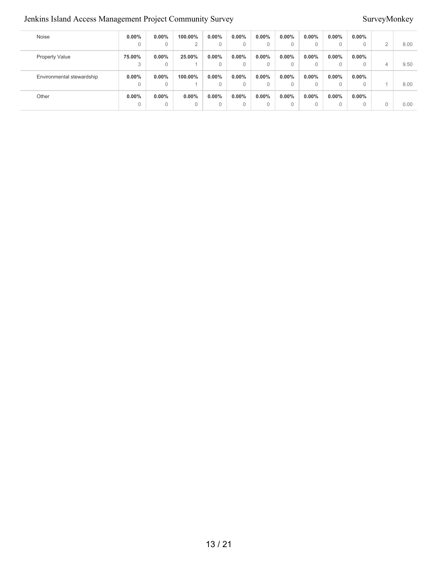# Jenkins Island Access Management Project Community Survey Survey Survey Survey Survey Survey Survey Survey Survey

| Noise                     | $0.00\%$ | $0.00\%$ | 100.00%  | 0.00%    | $0.00\%$    | $0.00\%$ | $0.00\%$ | 0.00% | $0.00\%$ | $0.00\%$ |                |      |
|---------------------------|----------|----------|----------|----------|-------------|----------|----------|-------|----------|----------|----------------|------|
|                           | 0        | 0        | $\Omega$ | 0        | $\mathbf 0$ | 0        | 0        |       | 0        | 0        | $\overline{2}$ | 8.00 |
| <b>Property Value</b>     | 75.00%   | $0.00\%$ | 25.00%   | $0.00\%$ | $0.00\%$    | $0.00\%$ | $0.00\%$ | 0.00% | $0.00\%$ | $0.00\%$ |                |      |
|                           | 3        | 0        |          |          | $\Omega$    | $\Omega$ | $\Omega$ |       | $\Omega$ |          | 4              | 9.50 |
| Environmental stewardship | $0.00\%$ | $0.00\%$ | 100.00%  | $0.00\%$ | $0.00\%$    | $0.00\%$ | $0.00\%$ | 0.00% | $0.00\%$ | $0.00\%$ |                |      |
|                           | 0        | $\Omega$ |          |          | $\Omega$    | $\Omega$ |          |       | $\Omega$ | $\Omega$ |                | 8.00 |
| Other                     | $0.00\%$ | 0.00%    | $0.00\%$ | 0.00%    | $0.00\%$    | $0.00\%$ | $0.00\%$ | 0.00% | $0.00\%$ | $0.00\%$ |                |      |
|                           | 0        | 0        | $\Omega$ |          | $\Omega$    | 0        | 0        |       | $\Omega$ | 0        | $\Omega$       | 0.00 |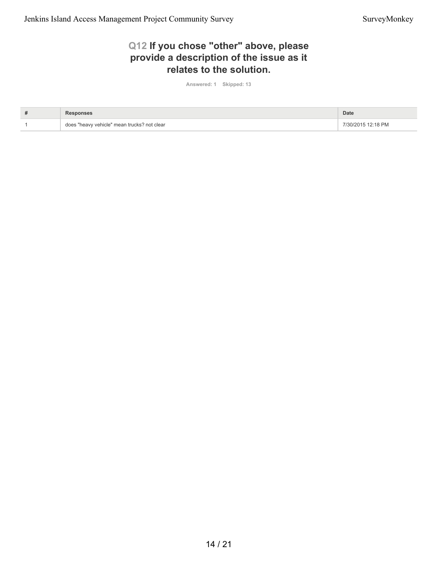## **Q12 If you chose "other" above, please provide a description of the issue as it relates to the solution.**

**Answered: 1 Skipped: 13**

| # |                                             | <b>Date</b>        |
|---|---------------------------------------------|--------------------|
|   | does "heavy vehicle" mean trucks? not clear | 7/30/2015 12:18 PM |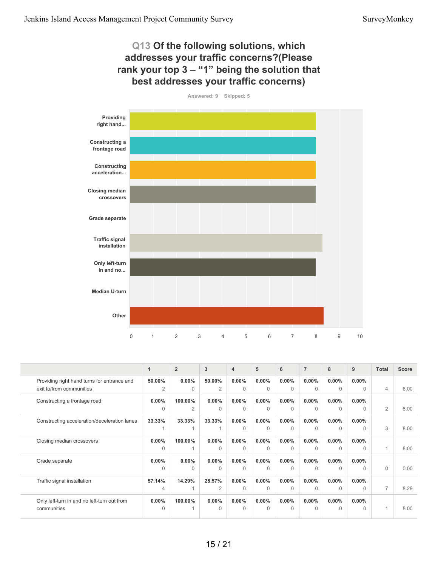#### **Q13 Of the following solutions, which addresses your traffic concerns?(Please rank your top 3 – "1" being the solution that best addresses your traffic concerns)**



|                                              | 1              | $\overline{2}$ | 3              | $\overline{4}$ | 5        | 6        | $\overline{7}$ | 8        | 9        | <b>Total</b>   | Score |
|----------------------------------------------|----------------|----------------|----------------|----------------|----------|----------|----------------|----------|----------|----------------|-------|
| Providing right hand turns for entrance and  | 50.00%         | $0.00\%$       | 50.00%         | $0.00\%$       | $0.00\%$ | $0.00\%$ | $0.00\%$       | $0.00\%$ | $0.00\%$ |                |       |
| exit to/from communities                     | $\overline{2}$ | $\Omega$       | $\overline{2}$ | $\theta$       | $\Omega$ | $\Omega$ | $\Omega$       | $\Omega$ | $\Omega$ | $\overline{4}$ | 8.00  |
| Constructing a frontage road                 | $0.00\%$       | 100.00%        | $0.00\%$       | $0.00\%$       | $0.00\%$ | $0.00\%$ | $0.00\%$       | $0.00\%$ | $0.00\%$ |                |       |
|                                              | $\Omega$       | $\overline{2}$ | $\Omega$       | $\Omega$       | $\Omega$ | $\Omega$ | $\Omega$       | $\Omega$ | $\Omega$ | $\overline{2}$ | 8.00  |
| Constructing acceleration/deceleration lanes | 33.33%         | 33.33%         | 33.33%         | $0.00\%$       | $0.00\%$ | $0.00\%$ | $0.00\%$       | $0.00\%$ | $0.00\%$ |                |       |
|                                              |                |                | 1              | $\Omega$       | $\Omega$ | $\Omega$ | $\Omega$       | $\Omega$ | $\Omega$ | 3              | 8.00  |
| Closing median crossovers                    | $0.00\%$       | 100.00%        | $0.00\%$       | $0.00\%$       | $0.00\%$ | $0.00\%$ | $0.00\%$       | $0.00\%$ | $0.00\%$ |                |       |
|                                              | $\Omega$       |                | $\Omega$       | $\Omega$       | $\Omega$ | $\Omega$ | $\Omega$       | $\Omega$ | $\Omega$ |                | 8.00  |
| Grade separate                               | $0.00\%$       | $0.00\%$       | $0.00\%$       | $0.00\%$       | $0.00\%$ | $0.00\%$ | $0.00\%$       | $0.00\%$ | $0.00\%$ |                |       |
|                                              | 0              | 0              | $\Omega$       | $\Omega$       | $\Omega$ | $\Omega$ | $\Omega$       | $\Omega$ | $\Omega$ | $\Omega$       | 0.00  |
| Traffic signal installation                  | 57.14%         | 14.29%         | 28.57%         | $0.00\%$       | $0.00\%$ | $0.00\%$ | $0.00\%$       | $0.00\%$ | $0.00\%$ |                |       |
|                                              | 4              |                | $\overline{2}$ | $\Omega$       | $\Omega$ | $\cap$   | $\Omega$       | $\Omega$ | $\Omega$ | $\overline{7}$ | 8.29  |
| Only left-turn in and no left-turn out from  | $0.00\%$       | 100.00%        | $0.00\%$       | $0.00\%$       | $0.00\%$ | $0.00\%$ | $0.00\%$       | $0.00\%$ | $0.00\%$ |                |       |
| communities                                  | $\Omega$       |                | $\Omega$       | $\Omega$       | $\Omega$ | $\cap$   | $\Omega$       | $\Omega$ | $\Omega$ |                | 8.00  |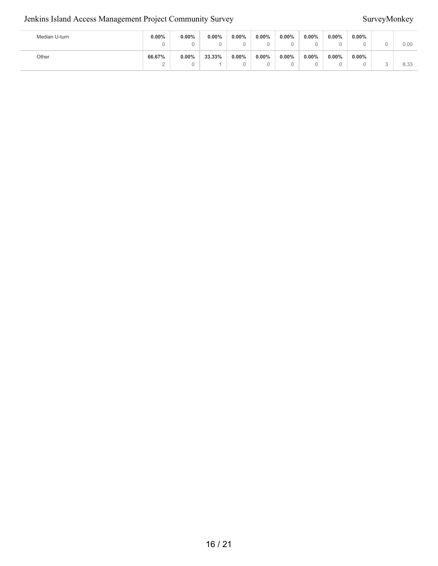#### Jenkins Island Access Management Project Community Survey Survey Survey Survey Survey Survey Survey Survey Survey

| Median U-turn | $0.00\%$    | $0.00\%$<br>u | 0.00%  | 0.00% | $0.00\%$ | $0.00\%$ | $0.00\%$      | $0.00\%$<br>u | $0.00\%$ | 0.00 |
|---------------|-------------|---------------|--------|-------|----------|----------|---------------|---------------|----------|------|
| Other         | 66.67%<br>∸ | $0.00\%$<br>U | 33.33% | 0.00% | $0.00\%$ | $0.00\%$ | $0.00\%$<br>ບ | $0.00\%$<br>U | $0.00\%$ | 8.33 |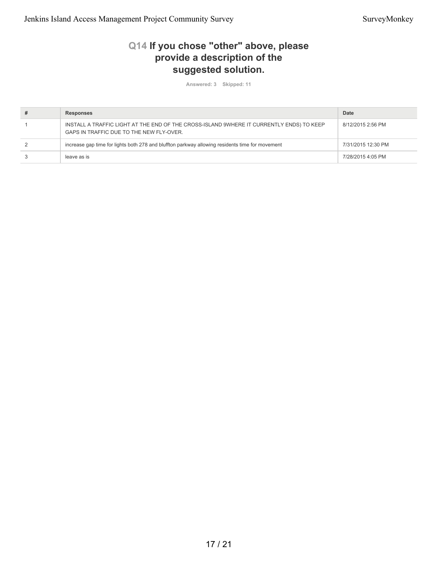## **Q14 If you chose "other" above, please provide a description of the suggested solution.**

**Answered: 3 Skipped: 11**

| <b>Responses</b>                                                                                                                     | Date               |
|--------------------------------------------------------------------------------------------------------------------------------------|--------------------|
| INSTALL A TRAFFIC LIGHT AT THE END OF THE CROSS-ISLAND 9WHERE IT CURRENTLY ENDS) TO KEEP<br>GAPS IN TRAFFIC DUE TO THE NEW FLY-OVER. | 8/12/2015 2:56 PM  |
| increase gap time for lights both 278 and bluffton parkway allowing residents time for movement                                      | 7/31/2015 12:30 PM |
| leave as is                                                                                                                          | 7/28/2015 4:05 PM  |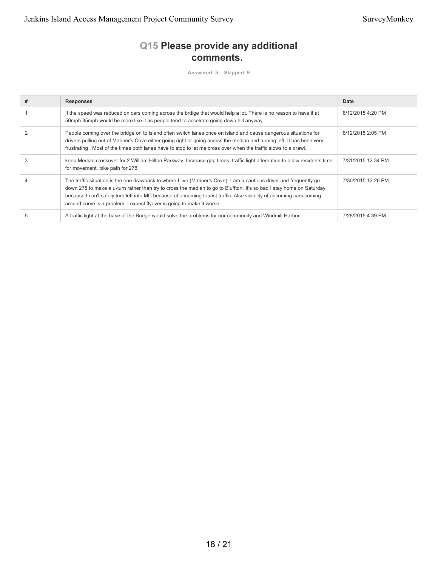# **Q15 Please provide any additional comments.**

**Answered: 5 Skipped: 9**

| # | <b>Responses</b>                                                                                                                                                                                                                                                                                                                                                                                                                                | Date               |
|---|-------------------------------------------------------------------------------------------------------------------------------------------------------------------------------------------------------------------------------------------------------------------------------------------------------------------------------------------------------------------------------------------------------------------------------------------------|--------------------|
|   | If the speed was reduced on cars coming across the brdige that would help a lot. There is no reason to have it at<br>50mph 35mph would be more like it as people tend to accelrate going down hill anyway                                                                                                                                                                                                                                       | 8/12/2015 4:20 PM  |
|   | People coming over the bridge on to island often switch lanes once on island and cause dangerous situations for<br>drivers pulling out of Mariner's Cove either going right or going across the median and turning left. It has been very<br>frustrating. Most of the times both lanes have to stop to let me cross over when the traffic slows to a crawl.                                                                                     | 8/12/2015 2:05 PM  |
| 3 | keep Median crossover for 2 William Hilton Parkway, Increase gap times, traffic light alternation to allow residents time<br>for movement, bike path for 278                                                                                                                                                                                                                                                                                    | 7/31/2015 12:34 PM |
|   | The traffic situation is the one drawback to where I live (Mariner's Cove). I am a cautious driver and frequently go<br>down 278 to make a u-turn rather than try to cross the median to go to Bluffton. It's so bad I stay home on Saturday<br>because I can't safely turn left into MC because of oncoming tourist traffic. Also visibility of oncoming cars coming<br>around curve is a problem. I expect flyover is going to make it worse. | 7/30/2015 12:26 PM |
|   | A traffic light at the base of the Bridge would solve the problems for our community and Windmill Harbor                                                                                                                                                                                                                                                                                                                                        | 7/28/2015 4:39 PM  |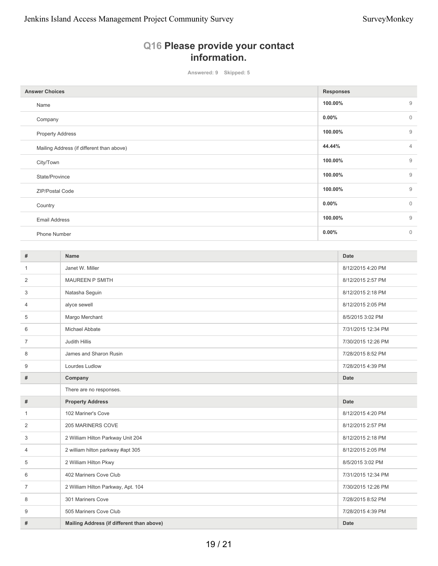# **Q16 Please provide your contact information.**

**Answered: 9 Skipped: 5**

| <b>Answer Choices</b>                     | <b>Responses</b> |                |  |
|-------------------------------------------|------------------|----------------|--|
| Name                                      | 100.00%          | $\overline{9}$ |  |
| Company                                   | $0.00\%$         | $\mathbf 0$    |  |
| <b>Property Address</b>                   | 100.00%          | 9              |  |
| Mailing Address (if different than above) | 44.44%           | $\overline{4}$ |  |
| City/Town                                 | 100.00%          | 9              |  |
| State/Province                            | 100.00%          | 9              |  |
| ZIP/Postal Code                           | 100.00%          | $\overline{9}$ |  |
| Country                                   | $0.00\%$         | $\mathbf{0}$   |  |
| <b>Email Address</b>                      | 100.00%          | $\overline{9}$ |  |
| Phone Number                              | $0.00\%$         | $\mathbf{0}$   |  |

| #              | <b>Name</b>                               | <b>Date</b>        |
|----------------|-------------------------------------------|--------------------|
| $\mathbf{1}$   | Janet W. Miller                           | 8/12/2015 4:20 PM  |
| 2              | <b>MAUREEN P SMITH</b>                    | 8/12/2015 2:57 PM  |
| 3              | Natasha Seguin                            | 8/12/2015 2:18 PM  |
| 4              | alyce sewell                              | 8/12/2015 2:05 PM  |
| 5              | Margo Merchant                            | 8/5/2015 3:02 PM   |
| 6              | Michael Abbate                            | 7/31/2015 12:34 PM |
| $\overline{7}$ | Judith Hillis                             | 7/30/2015 12:26 PM |
| 8              | James and Sharon Rusin                    | 7/28/2015 8:52 PM  |
| 9              | Lourdes Ludlow                            | 7/28/2015 4:39 PM  |
| #              | Company                                   | <b>Date</b>        |
|                | There are no responses.                   |                    |
| #              | <b>Property Address</b>                   | <b>Date</b>        |
| 1              | 102 Mariner's Cove                        | 8/12/2015 4:20 PM  |
| 2              | 205 MARINERS COVE                         | 8/12/2015 2:57 PM  |
| 3              | 2 William Hilton Parkway Unit 204         | 8/12/2015 2:18 PM  |
| 4              | 2 william hilton parkway #apt 305         | 8/12/2015 2:05 PM  |
| 5              | 2 William Hilton Pkwy                     | 8/5/2015 3:02 PM   |
| 6              | 402 Mariners Cove Club                    | 7/31/2015 12:34 PM |
| 7              | 2 William Hilton Parkway, Apt. 104        | 7/30/2015 12:26 PM |
| 8              | 301 Mariners Cove                         | 7/28/2015 8:52 PM  |
| 9              | 505 Mariners Cove Club                    | 7/28/2015 4:39 PM  |
| #              | Mailing Address (if different than above) | <b>Date</b>        |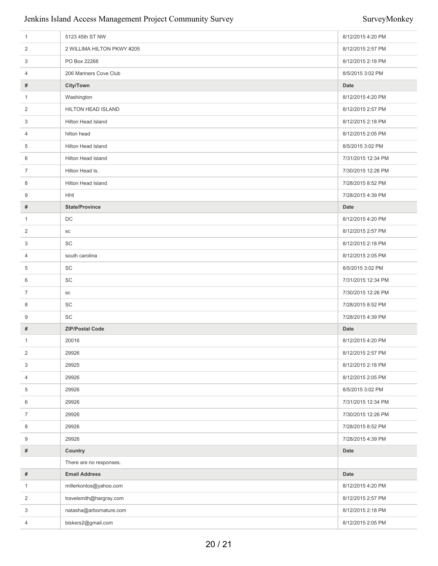### Jenkins Island Access Management Project Community Survey Survey Survey Survey Survey Survey Survey Survey Survey

| $\mathbf{1}$   | 5123 45th ST NW            | 8/12/2015 4:20 PM  |
|----------------|----------------------------|--------------------|
| 2              | 2 WILLIMA HILTON PKWY #205 | 8/12/2015 2:57 PM  |
| 3              | PO Box 22268               | 8/12/2015 2:18 PM  |
| 4              | 206 Mariners Cove Club     | 8/5/2015 3:02 PM   |
| #              | City/Town                  | <b>Date</b>        |
| $\mathbf{1}$   | Washington                 | 8/12/2015 4:20 PM  |
| 2              | HILTON HEAD ISLAND         | 8/12/2015 2:57 PM  |
| 3              | Hilton Head Island         | 8/12/2015 2:18 PM  |
| 4              | hilton head                | 8/12/2015 2:05 PM  |
| 5              | Hilton Head Island         | 8/5/2015 3:02 PM   |
| 6              | Hilton Head Island         | 7/31/2015 12:34 PM |
| $\overline{7}$ | Hilton Head Is.            | 7/30/2015 12:26 PM |
| 8              | <b>Hilton Head Island</b>  | 7/28/2015 8:52 PM  |
| 9              | HHI                        | 7/28/2015 4:39 PM  |
| #              | <b>State/Province</b>      | <b>Date</b>        |
| $\mathbf{1}$   | DC                         | 8/12/2015 4:20 PM  |
| 2              | SC                         | 8/12/2015 2:57 PM  |
| 3              | SC                         | 8/12/2015 2:18 PM  |
| 4              | south carolina             | 8/12/2015 2:05 PM  |
| 5              | SC                         | 8/5/2015 3:02 PM   |
| 6              | SC                         | 7/31/2015 12:34 PM |
| $\overline{7}$ | ${\sf SC}$                 | 7/30/2015 12:26 PM |
| 8              | SC                         | 7/28/2015 8:52 PM  |
| 9              | SC                         | 7/28/2015 4:39 PM  |
| #              | <b>ZIP/Postal Code</b>     | <b>Date</b>        |
| $\mathbf{1}$   | 20016                      | 8/12/2015 4:20 PM  |
| 2              | 29926                      | 8/12/2015 2:57 PM  |
| 3              | 29925                      | 8/12/2015 2:18 PM  |
| 4              | 29926                      | 8/12/2015 2:05 PM  |
| 5              | 29926                      | 8/5/2015 3:02 PM   |
| 6              | 29926                      | 7/31/2015 12:34 PM |
| $\overline{7}$ | 29926                      | 7/30/2015 12:26 PM |
| 8              | 29926                      | 7/28/2015 8:52 PM  |
| 9              | 29926                      | 7/28/2015 4:39 PM  |
| #              | Country                    | Date               |
|                | There are no responses.    |                    |
| #              | <b>Email Address</b>       | Date               |
| $\mathbf{1}$   | millerkontos@yahoo.com     | 8/12/2015 4:20 PM  |
| $\overline{2}$ | travelsmith@hargray.com    | 8/12/2015 2:57 PM  |
| 3              | natasha@arbornature.com    | 8/12/2015 2:18 PM  |
| 4              | biskers2@gmail.com         | 8/12/2015 2:05 PM  |